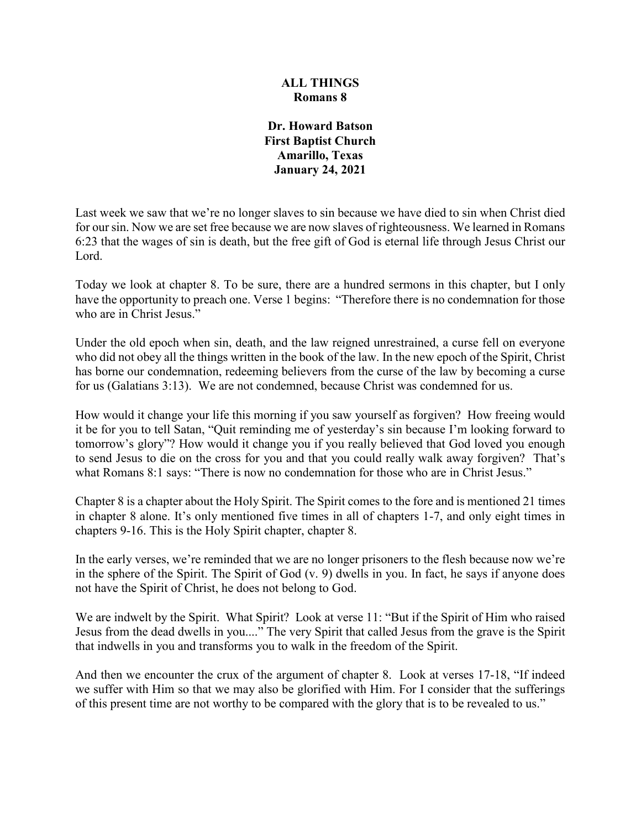# **ALL THINGS Romans 8**

**Dr. Howard Batson First Baptist Church Amarillo, Texas January 24, 2021**

Last week we saw that we're no longer slaves to sin because we have died to sin when Christ died for our sin. Now we are set free because we are now slaves of righteousness. We learned in Romans 6:23 that the wages of sin is death, but the free gift of God is eternal life through Jesus Christ our Lord.

Today we look at chapter 8. To be sure, there are a hundred sermons in this chapter, but I only have the opportunity to preach one. Verse 1 begins: "Therefore there is no condemnation for those who are in Christ Jesus."

Under the old epoch when sin, death, and the law reigned unrestrained, a curse fell on everyone who did not obey all the things written in the book of the law. In the new epoch of the Spirit, Christ has borne our condemnation, redeeming believers from the curse of the law by becoming a curse for us (Galatians 3:13). We are not condemned, because Christ was condemned for us.

How would it change your life this morning if you saw yourself as forgiven? How freeing would it be for you to tell Satan, "Quit reminding me of yesterday's sin because I'm looking forward to tomorrow's glory"? How would it change you if you really believed that God loved you enough to send Jesus to die on the cross for you and that you could really walk away forgiven? That's what Romans 8:1 says: "There is now no condemnation for those who are in Christ Jesus."

Chapter 8 is a chapter about the Holy Spirit. The Spirit comes to the fore and is mentioned 21 times in chapter 8 alone. It's only mentioned five times in all of chapters 1-7, and only eight times in chapters 9-16. This is the Holy Spirit chapter, chapter 8.

In the early verses, we're reminded that we are no longer prisoners to the flesh because now we're in the sphere of the Spirit. The Spirit of God (v. 9) dwells in you. In fact, he says if anyone does not have the Spirit of Christ, he does not belong to God.

We are indwelt by the Spirit. What Spirit? Look at verse 11: "But if the Spirit of Him who raised Jesus from the dead dwells in you...." The very Spirit that called Jesus from the grave is the Spirit that indwells in you and transforms you to walk in the freedom of the Spirit.

And then we encounter the crux of the argument of chapter 8. Look at verses 17-18, "If indeed we suffer with Him so that we may also be glorified with Him. For I consider that the sufferings of this present time are not worthy to be compared with the glory that is to be revealed to us."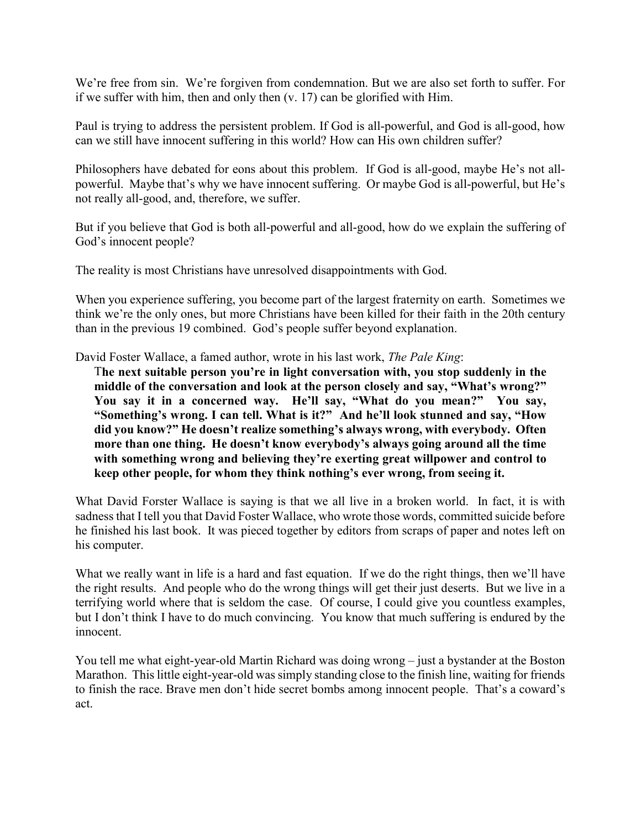We're free from sin. We're forgiven from condemnation. But we are also set forth to suffer. For if we suffer with him, then and only then (v. 17) can be glorified with Him.

Paul is trying to address the persistent problem. If God is all-powerful, and God is all-good, how can we still have innocent suffering in this world? How can His own children suffer?

Philosophers have debated for eons about this problem. If God is all-good, maybe He's not allpowerful. Maybe that's why we have innocent suffering. Or maybe God is all-powerful, but He's not really all-good, and, therefore, we suffer.

But if you believe that God is both all-powerful and all-good, how do we explain the suffering of God's innocent people?

The reality is most Christians have unresolved disappointments with God.

When you experience suffering, you become part of the largest fraternity on earth. Sometimes we think we're the only ones, but more Christians have been killed for their faith in the 20th century than in the previous 19 combined. God's people suffer beyond explanation.

David Foster Wallace, a famed author, wrote in his last work, *The Pale King*:

T**he next suitable person you're in light conversation with, you stop suddenly in the middle of the conversation and look at the person closely and say, "What's wrong?"**  You say it in a concerned way. He'll say, "What do you mean?" You say, **"Something's wrong. I can tell. What is it?" And he'll look stunned and say, "How did you know?" He doesn't realize something's always wrong, with everybody. Often more than one thing. He doesn't know everybody's always going around all the time with something wrong and believing they're exerting great willpower and control to keep other people, for whom they think nothing's ever wrong, from seeing it.**

What David Forster Wallace is saying is that we all live in a broken world. In fact, it is with sadness that I tell you that David Foster Wallace, who wrote those words, committed suicide before he finished his last book. It was pieced together by editors from scraps of paper and notes left on his computer.

What we really want in life is a hard and fast equation. If we do the right things, then we'll have the right results. And people who do the wrong things will get their just deserts. But we live in a terrifying world where that is seldom the case. Of course, I could give you countless examples, but I don't think I have to do much convincing. You know that much suffering is endured by the innocent.

You tell me what eight-year-old Martin Richard was doing wrong – just a bystander at the Boston Marathon. This little eight-year-old was simply standing close to the finish line, waiting for friends to finish the race. Brave men don't hide secret bombs among innocent people. That's a coward's act.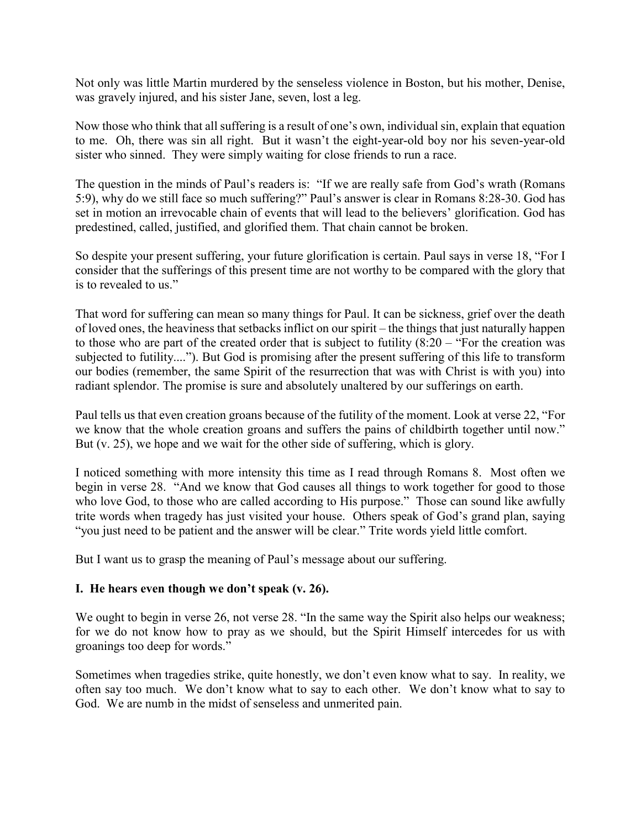Not only was little Martin murdered by the senseless violence in Boston, but his mother, Denise, was gravely injured, and his sister Jane, seven, lost a leg.

Now those who think that all suffering is a result of one's own, individual sin, explain that equation to me. Oh, there was sin all right. But it wasn't the eight-year-old boy nor his seven-year-old sister who sinned. They were simply waiting for close friends to run a race.

The question in the minds of Paul's readers is: "If we are really safe from God's wrath (Romans 5:9), why do we still face so much suffering?" Paul's answer is clear in Romans 8:28-30. God has set in motion an irrevocable chain of events that will lead to the believers' glorification. God has predestined, called, justified, and glorified them. That chain cannot be broken.

So despite your present suffering, your future glorification is certain. Paul says in verse 18, "For I consider that the sufferings of this present time are not worthy to be compared with the glory that is to revealed to us."

That word for suffering can mean so many things for Paul. It can be sickness, grief over the death of loved ones, the heaviness that setbacks inflict on our spirit – the things that just naturally happen to those who are part of the created order that is subject to futility  $(8:20 -$  "For the creation was subjected to futility...."). But God is promising after the present suffering of this life to transform our bodies (remember, the same Spirit of the resurrection that was with Christ is with you) into radiant splendor. The promise is sure and absolutely unaltered by our sufferings on earth.

Paul tells us that even creation groans because of the futility of the moment. Look at verse 22, "For we know that the whole creation groans and suffers the pains of childbirth together until now." But (v. 25), we hope and we wait for the other side of suffering, which is glory.

I noticed something with more intensity this time as I read through Romans 8. Most often we begin in verse 28. "And we know that God causes all things to work together for good to those who love God, to those who are called according to His purpose." Those can sound like awfully trite words when tragedy has just visited your house. Others speak of God's grand plan, saying "you just need to be patient and the answer will be clear." Trite words yield little comfort.

But I want us to grasp the meaning of Paul's message about our suffering.

# **I. He hears even though we don't speak (v. 26).**

We ought to begin in verse 26, not verse 28. "In the same way the Spirit also helps our weakness; for we do not know how to pray as we should, but the Spirit Himself intercedes for us with groanings too deep for words."

Sometimes when tragedies strike, quite honestly, we don't even know what to say. In reality, we often say too much. We don't know what to say to each other. We don't know what to say to God. We are numb in the midst of senseless and unmerited pain.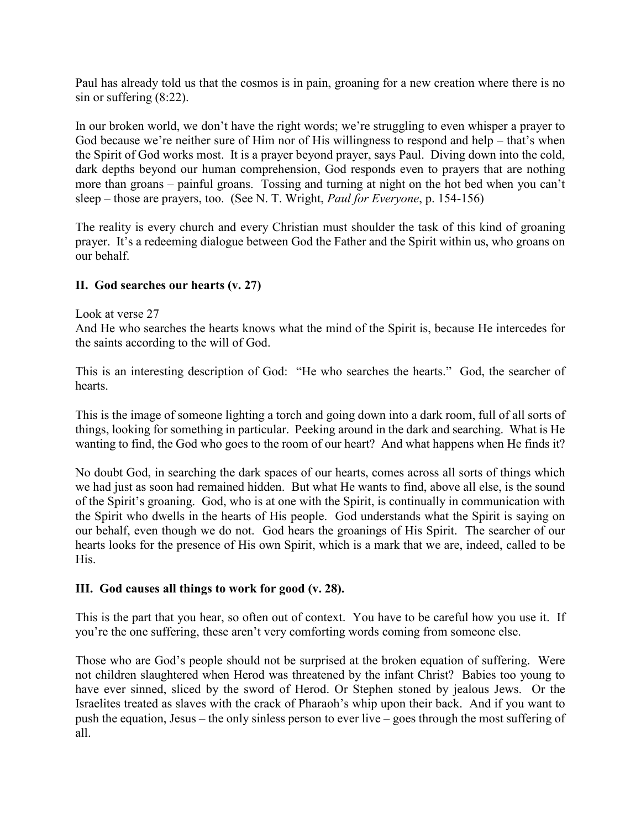Paul has already told us that the cosmos is in pain, groaning for a new creation where there is no sin or suffering (8:22).

In our broken world, we don't have the right words; we're struggling to even whisper a prayer to God because we're neither sure of Him nor of His willingness to respond and help – that's when the Spirit of God works most. It is a prayer beyond prayer, says Paul. Diving down into the cold, dark depths beyond our human comprehension, God responds even to prayers that are nothing more than groans – painful groans. Tossing and turning at night on the hot bed when you can't sleep – those are prayers, too. (See N. T. Wright, *Paul for Everyone*, p. 154-156)

The reality is every church and every Christian must shoulder the task of this kind of groaning prayer. It's a redeeming dialogue between God the Father and the Spirit within us, who groans on our behalf.

# **II. God searches our hearts (v. 27)**

### Look at verse 27

And He who searches the hearts knows what the mind of the Spirit is, because He intercedes for the saints according to the will of God.

This is an interesting description of God: "He who searches the hearts." God, the searcher of hearts.

This is the image of someone lighting a torch and going down into a dark room, full of all sorts of things, looking for something in particular. Peeking around in the dark and searching. What is He wanting to find, the God who goes to the room of our heart? And what happens when He finds it?

No doubt God, in searching the dark spaces of our hearts, comes across all sorts of things which we had just as soon had remained hidden. But what He wants to find, above all else, is the sound of the Spirit's groaning. God, who is at one with the Spirit, is continually in communication with the Spirit who dwells in the hearts of His people. God understands what the Spirit is saying on our behalf, even though we do not. God hears the groanings of His Spirit. The searcher of our hearts looks for the presence of His own Spirit, which is a mark that we are, indeed, called to be His.

### **III. God causes all things to work for good (v. 28).**

This is the part that you hear, so often out of context. You have to be careful how you use it. If you're the one suffering, these aren't very comforting words coming from someone else.

Those who are God's people should not be surprised at the broken equation of suffering. Were not children slaughtered when Herod was threatened by the infant Christ? Babies too young to have ever sinned, sliced by the sword of Herod. Or Stephen stoned by jealous Jews. Or the Israelites treated as slaves with the crack of Pharaoh's whip upon their back. And if you want to push the equation, Jesus – the only sinless person to ever live – goes through the most suffering of all.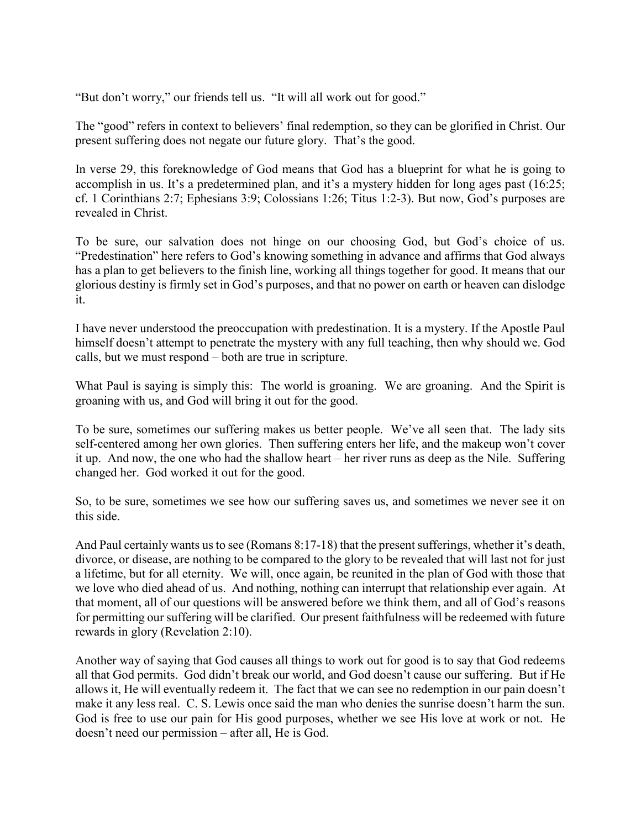"But don't worry," our friends tell us. "It will all work out for good."

The "good" refers in context to believers' final redemption, so they can be glorified in Christ. Our present suffering does not negate our future glory. That's the good.

In verse 29, this foreknowledge of God means that God has a blueprint for what he is going to accomplish in us. It's a predetermined plan, and it's a mystery hidden for long ages past (16:25; cf. 1 Corinthians 2:7; Ephesians 3:9; Colossians 1:26; Titus 1:2-3). But now, God's purposes are revealed in Christ.

To be sure, our salvation does not hinge on our choosing God, but God's choice of us. "Predestination" here refers to God's knowing something in advance and affirms that God always has a plan to get believers to the finish line, working all things together for good. It means that our glorious destiny is firmly set in God's purposes, and that no power on earth or heaven can dislodge it.

I have never understood the preoccupation with predestination. It is a mystery. If the Apostle Paul himself doesn't attempt to penetrate the mystery with any full teaching, then why should we. God calls, but we must respond – both are true in scripture.

What Paul is saying is simply this: The world is groaning. We are groaning. And the Spirit is groaning with us, and God will bring it out for the good.

To be sure, sometimes our suffering makes us better people. We've all seen that. The lady sits self-centered among her own glories. Then suffering enters her life, and the makeup won't cover it up. And now, the one who had the shallow heart – her river runs as deep as the Nile. Suffering changed her. God worked it out for the good.

So, to be sure, sometimes we see how our suffering saves us, and sometimes we never see it on this side.

And Paul certainly wants us to see (Romans 8:17-18) that the present sufferings, whether it's death, divorce, or disease, are nothing to be compared to the glory to be revealed that will last not for just a lifetime, but for all eternity. We will, once again, be reunited in the plan of God with those that we love who died ahead of us. And nothing, nothing can interrupt that relationship ever again. At that moment, all of our questions will be answered before we think them, and all of God's reasons for permitting our suffering will be clarified. Our present faithfulness will be redeemed with future rewards in glory (Revelation 2:10).

Another way of saying that God causes all things to work out for good is to say that God redeems all that God permits. God didn't break our world, and God doesn't cause our suffering. But if He allows it, He will eventually redeem it. The fact that we can see no redemption in our pain doesn't make it any less real. C. S. Lewis once said the man who denies the sunrise doesn't harm the sun. God is free to use our pain for His good purposes, whether we see His love at work or not. He doesn't need our permission – after all, He is God.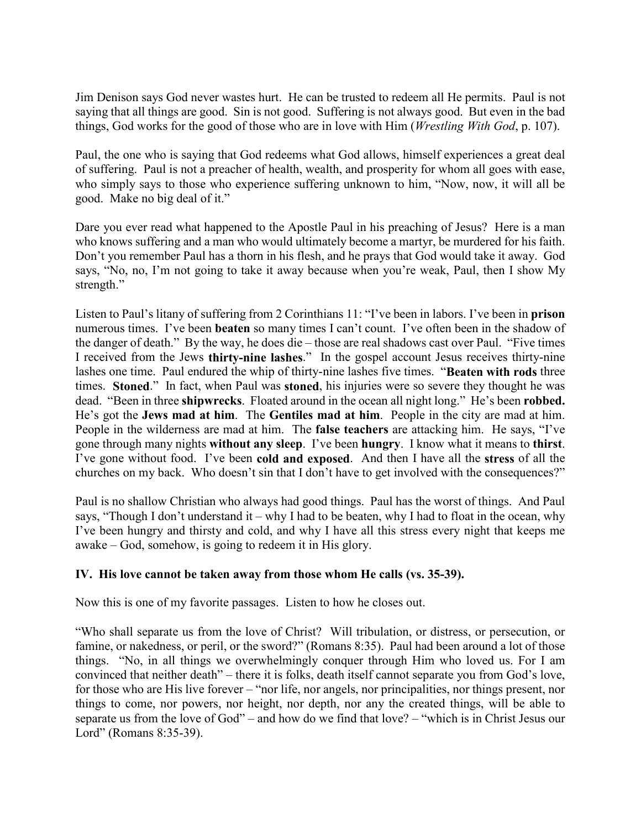Jim Denison says God never wastes hurt. He can be trusted to redeem all He permits. Paul is not saying that all things are good. Sin is not good. Suffering is not always good. But even in the bad things, God works for the good of those who are in love with Him (*Wrestling With God*, p. 107).

Paul, the one who is saying that God redeems what God allows, himself experiences a great deal of suffering. Paul is not a preacher of health, wealth, and prosperity for whom all goes with ease, who simply says to those who experience suffering unknown to him, "Now, now, it will all be good. Make no big deal of it."

Dare you ever read what happened to the Apostle Paul in his preaching of Jesus? Here is a man who knows suffering and a man who would ultimately become a martyr, be murdered for his faith. Don't you remember Paul has a thorn in his flesh, and he prays that God would take it away. God says, "No, no, I'm not going to take it away because when you're weak, Paul, then I show My strength."

Listen to Paul's litany of suffering from 2 Corinthians 11: "I've been in labors. I've been in **prison** numerous times. I've been **beaten** so many times I can't count. I've often been in the shadow of the danger of death." By the way, he does die – those are real shadows cast over Paul. "Five times I received from the Jews **thirty-nine lashes**." In the gospel account Jesus receives thirty-nine lashes one time. Paul endured the whip of thirty-nine lashes five times. "**Beaten with rods** three times. **Stoned**." In fact, when Paul was **stoned**, his injuries were so severe they thought he was dead. "Been in three **shipwrecks**. Floated around in the ocean all night long." He's been **robbed.** He's got the **Jews mad at him**. The **Gentiles mad at him**. People in the city are mad at him. People in the wilderness are mad at him. The **false teachers** are attacking him. He says, "I've gone through many nights **without any sleep**. I've been **hungry**. I know what it means to **thirst**. I've gone without food. I've been **cold and exposed**. And then I have all the **stress** of all the churches on my back. Who doesn't sin that I don't have to get involved with the consequences?"

Paul is no shallow Christian who always had good things. Paul has the worst of things. And Paul says, "Though I don't understand it – why I had to be beaten, why I had to float in the ocean, why I've been hungry and thirsty and cold, and why I have all this stress every night that keeps me awake – God, somehow, is going to redeem it in His glory.

# **IV. His love cannot be taken away from those whom He calls (vs. 35-39).**

Now this is one of my favorite passages. Listen to how he closes out.

"Who shall separate us from the love of Christ? Will tribulation, or distress, or persecution, or famine, or nakedness, or peril, or the sword?" (Romans 8:35). Paul had been around a lot of those things. "No, in all things we overwhelmingly conquer through Him who loved us. For I am convinced that neither death" – there it is folks, death itself cannot separate you from God's love, for those who are His live forever – "nor life, nor angels, nor principalities, nor things present, nor things to come, nor powers, nor height, nor depth, nor any the created things, will be able to separate us from the love of God" – and how do we find that love? – "which is in Christ Jesus our Lord" (Romans 8:35-39).